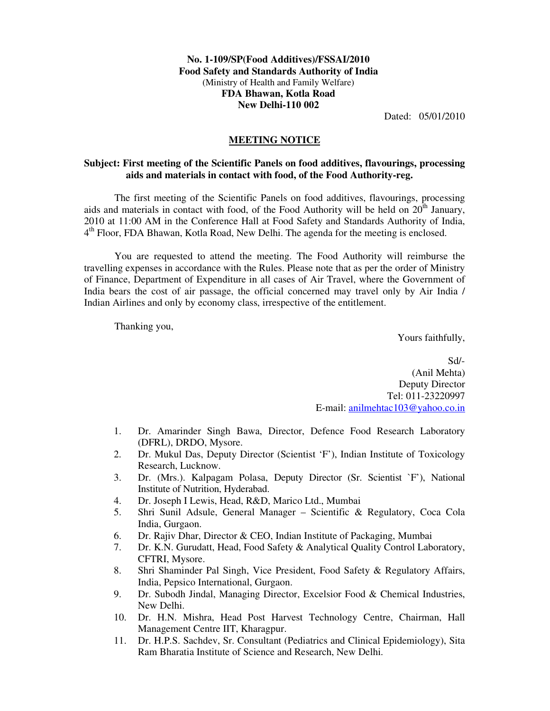## **No. 1-109/SP(Food Additives)/FSSAI/2010 Food Safety and Standards Authority of India**  (Ministry of Health and Family Welfare) **FDA Bhawan, Kotla Road New Delhi-110 002**

Dated: 05/01/2010

## **MEETING NOTICE**

## **Subject: First meeting of the Scientific Panels on food additives, flavourings, processing aids and materials in contact with food, of the Food Authority-reg.**

The first meeting of the Scientific Panels on food additives, flavourings, processing aids and materials in contact with food, of the Food Authority will be held on  $20<sup>th</sup>$  January, 2010 at 11:00 AM in the Conference Hall at Food Safety and Standards Authority of India, 4<sup>th</sup> Floor, FDA Bhawan, Kotla Road, New Delhi. The agenda for the meeting is enclosed.

You are requested to attend the meeting. The Food Authority will reimburse the travelling expenses in accordance with the Rules. Please note that as per the order of Ministry of Finance, Department of Expenditure in all cases of Air Travel, where the Government of India bears the cost of air passage, the official concerned may travel only by Air India / Indian Airlines and only by economy class, irrespective of the entitlement.

Thanking you,

Yours faithfully,

Sd/- (Anil Mehta) Deputy Director Tel: 011-23220997 E-mail: anilmehtac103@yahoo.co.in

- 1. Dr. Amarinder Singh Bawa, Director, Defence Food Research Laboratory (DFRL), DRDO, Mysore.
- 2. Dr. Mukul Das, Deputy Director (Scientist 'F'), Indian Institute of Toxicology Research, Lucknow.
- 3. Dr. (Mrs.). Kalpagam Polasa, Deputy Director (Sr. Scientist `F'), National Institute of Nutrition, Hyderabad.
- 4. Dr. Joseph I Lewis, Head, R&D, Marico Ltd., Mumbai
- 5. Shri Sunil Adsule, General Manager Scientific & Regulatory, Coca Cola India, Gurgaon.
- 6. Dr. Rajiv Dhar, Director & CEO, Indian Institute of Packaging, Mumbai
- 7. Dr. K.N. Gurudatt, Head, Food Safety & Analytical Quality Control Laboratory, CFTRI, Mysore.
- 8. Shri Shaminder Pal Singh, Vice President, Food Safety & Regulatory Affairs, India, Pepsico International, Gurgaon.
- 9. Dr. Subodh Jindal, Managing Director, Excelsior Food & Chemical Industries, New Delhi.
- 10. Dr. H.N. Mishra, Head Post Harvest Technology Centre, Chairman, Hall Management Centre IIT, Kharagpur.
- 11. Dr. H.P.S. Sachdev, Sr. Consultant (Pediatrics and Clinical Epidemiology), Sita Ram Bharatia Institute of Science and Research, New Delhi.